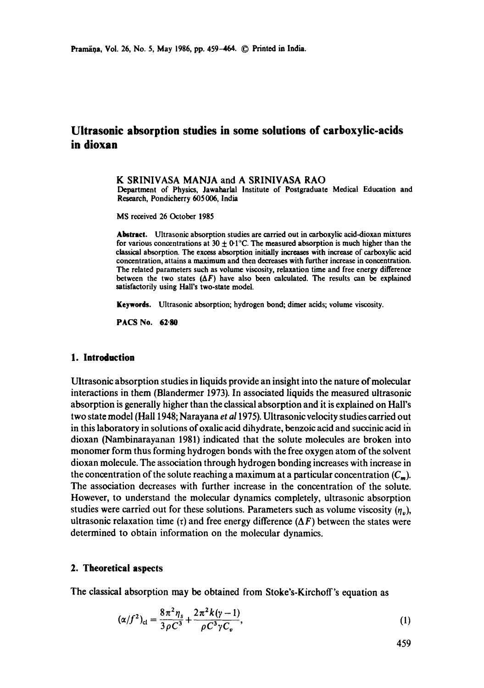# **Ultrasonic absorption studies in some solutions of carboxylic-acids in dioxan**

K SRINIVASA MANJA and A SRINIVASA RAO

Department of Physics, Jawaharlal Institute of Postgraduate Medical Education and Research, Pondicherry 605006, India

MS received 26 October 1985

**Abstract.** Ultrasonic absorption studies **are carried** out in carboxylic acid-dioxan mixtures for various concentrations at  $30 \pm 0.1^{\circ}$ C. The measured absorption is much higher than the classical absorption. The excess absorption initially increases with increase of carboxylic acid concentration, attains a maximum and then decreases with further increase in concentration. The related parameters such as volume viscosity, relaxation time and free energy difference between the two states  $(\Delta F)$  have also been calculated. The results can be explained satisfactorily using Hall's two-state model.

**Keywords.** Ultrasonic absorption; hydrogen bond; dimer acids; volume viscosity.

**PACS No. 62-80** 

### **1. Introduction**

Ultrasonic absorption studies in liquids provide an insight into the nature of molecular interactions in them (Blandermer 1973). In associated liquids the measured ultrasonic absorption is generally higher than the classical absorption and it is explained on Hall's two state model (Hall 1948; Narayana *et al* 1975). Ultrasonic velocity studies carried out in this laboratory in solutions of oxalic acid dihydrate, benzoic acid and succinic acid ih dioxan (Nambinarayanan 1981) indicated that the solute molecules are broken into monomer form thus forming hydrogen bonds with the free oxygen atom of the solvent dioxan molecule. The association through hydrogen bonding increases with increase in the concentration of the solute reaching a maximum at a particular concentration  $(C_m)$ . The association decreases with further increase in the concentration of the solute. However, to understand the molecular dynamics completely, ultrasonic absorption studies were carried out for these solutions. Parameters such as volume viscosity  $(\eta_n)$ , ultrasonic relaxation time ( $\tau$ ) and free energy difference ( $\Delta F$ ) between the states were determined to obtain information on the molecular dynamics.

#### **2. Theoretical aspects**

The classical absorption may be obtained from Stoke's-Kirchoff's equation as

$$
(\alpha/f^2)_{\rm cl} = \frac{8\pi^2\eta_s}{3\rho C^3} + \frac{2\pi^2k(\gamma - 1)}{\rho C^3\gamma C_v},\tag{1}
$$

459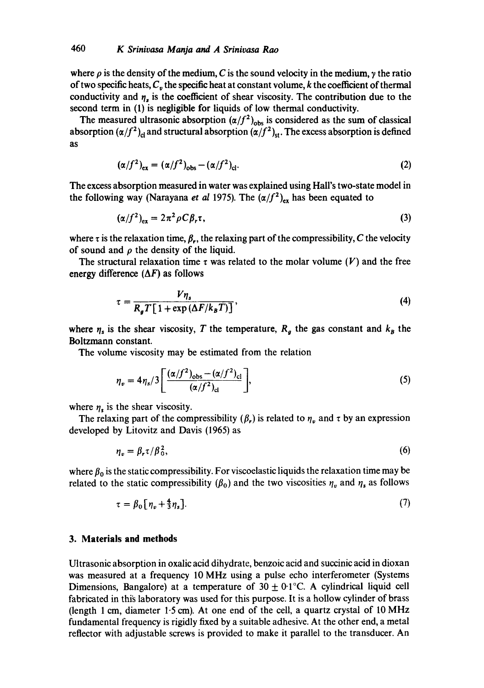where  $\rho$  is the density of the medium, C is the sound velocity in the medium,  $\gamma$  the ratio of two specific heats,  $C_v$  the specific heat at constant volume, k the coefficient of thermal conductivity and  $\eta_s$  is the coefficient of shear viscosity. The contribution due to the second term in (1) is negligible for liquids of low thermal conductivity.

The measured ultrasonic absorption  $(\alpha/f^2)_{\text{obs}}$  is considered as the sum of classical absorption  $(\alpha/f^2)_{cl}$  and structural absorption  $(\alpha/f^2)_{st}$ . The excess absorption is defined as

$$
(\alpha/f^2)_{\text{ex}} = (\alpha/f^2)_{\text{obs}} - (\alpha/f^2)_{\text{cl}}.\tag{2}
$$

The excess absorption measured in water was explained using Hall's two-state model in the following way (Narayana et al 1975). The  $(\alpha/f^2)_{ex}$  has been equated to

$$
(\alpha/f^2)_{\text{ex}} = 2\pi^2 \rho C \beta_r \tau,\tag{3}
$$

where  $\tau$  is the relaxation time,  $\beta_r$ , the relaxing part of the compressibility, C the velocity of sound and  $\rho$  the density of the liquid.

The structural relaxation time  $\tau$  was related to the molar volume (V) and the free energy difference  $(\Delta F)$  as follows

$$
\tau = \frac{V\eta_s}{R_g T [1 + \exp(\Delta F / k_B T)]},\tag{4}
$$

where  $\eta_s$  is the shear viscosity, T the temperature,  $R_g$  the gas constant and  $k_B$  the Boltzmann constant.

The volume viscosity may be estimated from the relation

$$
\eta_v = 4\eta_s/3 \left[ \frac{(\alpha/f^2)_{\text{obs}} - (\alpha/f^2)_{\text{cl}}}{(\alpha/f^2)_{\text{cl}}} \right],\tag{5}
$$

where  $\eta_s$  is the shear viscosity.

The relaxing part of the compressibility  $(\beta_r)$  is related to  $\eta_v$  and  $\tau$  by an expression developed by Litovitz and Davis (1965) as

$$
\eta_v = \beta_r \tau / \beta_0^2,\tag{6}
$$

where  $\beta_0$  is the static compressibility. For viscoelastic liquids the relaxation time may be related to the static compressibility ( $\beta_0$ ) and the two viscosities  $\eta_{\nu}$  and  $\eta_{\nu}$  as follows

$$
\tau = \beta_0 \left[ \eta_v + \frac{4}{3} \eta_s \right]. \tag{7}
$$

#### **3. Materials and methods**

Ultrasonic absorption in oxalic acid dihydrate, benzoic acid and succinic acid in dioxan was measured at a frequency 10 MHz using a pulse echo interferometer (Systems Dimensions, Bangalore) at a temperature of  $30 \pm 0.1^{\circ}$ C. A cylindrical liquid cell fabricated in this laboratory was used for this purpose. It is a hollow cylinder of brass (length 1 cm, diameter 1.5 cm). At one end of the cell, a quartz crystal of 10 MHz fundamental frequency is rigidly fixed by a suitable adhesive. At the other end, a metal reflector with adjustable screws is provided to make it parallel to the transducer. An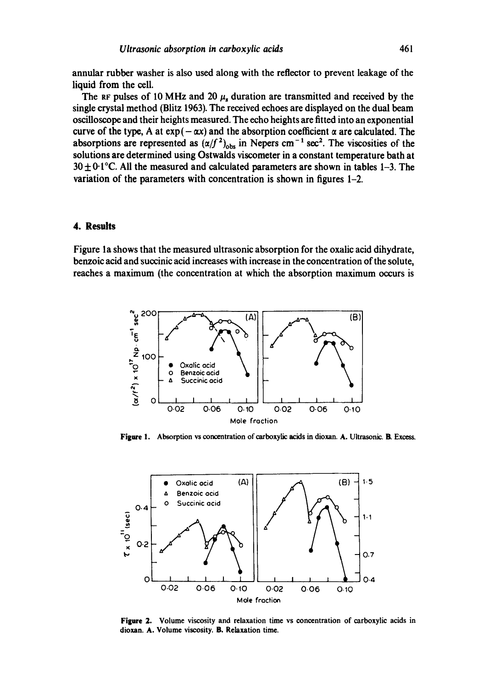**annular rubber washer is also used along with the reflector to prevent leakage of the liquid from the cell.** 

The RF pulses of 10 MHz and 20  $\mu$ <sub>s</sub> duration are transmitted and received by the **single crystal method (Blitz 1963). The received echoes are displayed on the dual beam oscilloscope and their heights measured. The echo heights are fitted into an exponential**  curve of the type, A at  $exp(-\alpha x)$  and the absorption coefficient  $\alpha$  are calculated. The absorptions are represented as  $(\alpha/f^2)_{\text{obs}}$  in Nepers cm<sup>-1</sup> sec<sup>2</sup>. The viscosities of the **solutions are determined using Ostwalds viscometer in a constant temperature bath at 30 + 0-1°C. All the measured and calculated parameters are shown in tables 1-3. The variation of the parameters with concentration is shown in figures 1-2.** 

## **4. Results**

**Figure la shows that the measured ultrasonic absorption for the oxalic acid dihydrate, benzoic acid and succinic acid increases with increase in the concentration of the solute, reaches a maximum (the concentration at which the absorption maximum occurs is** 



**Figure 1. Absorption vs concentration of carboxylic acids in dioxan. A. Ultrasonic. B. Excess.** 



**Figure 2. Volume viscosity and relaxation time vs concentration of carboxylic acids in dioxan. A. Volume viscosity. B. Relaxation time.**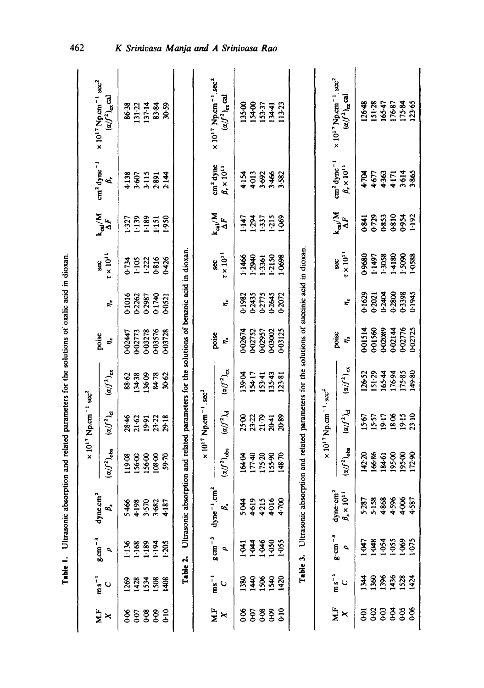|                | $ms^{-1}$            |                                           |                                                                                            |                                                                            | $\times 10^{17}$ Np.cm <sup>-1</sup> sec <sup>2</sup>   |                                      |             |                      |                            |                                      |                                                     | $\times 10^{17}$ Np.cm <sup>-1</sup> sec <sup>2</sup>                               |
|----------------|----------------------|-------------------------------------------|--------------------------------------------------------------------------------------------|----------------------------------------------------------------------------|---------------------------------------------------------|--------------------------------------|-------------|----------------------|----------------------------|--------------------------------------|-----------------------------------------------------|-------------------------------------------------------------------------------------|
| XF<br>×        | $\circ$              | $g cm^{-3}$<br>$\overline{\phantom{a}}$   | dyne.cm <sup>2</sup><br>B,                                                                 | $(\alpha/f^2)_{\rm obs}$                                                   | $\left( \alpha/f^2 \right)_\text{cl}$                   | $(\alpha/f^2)_{\rm ex}$              | poise<br>t, | r,                   | $\tau \times 10^{11}$<br>g | $\frac{k_{\text{cal}}/M}{\Delta F}$  | cm <sup>2</sup> dyne <sup>-1</sup><br>¢,            | $(a/f^2)_{ex}$ cal                                                                  |
| 8              | $^{1269}$            | 136                                       |                                                                                            | 119.08                                                                     |                                                         |                                      | 0-02447     | 0-1016               | $0 - 734$                  | 1.327                                | 4.138                                               |                                                                                     |
| 0.07           | 1428                 | 1.168                                     |                                                                                            | 15600                                                                      | 2846<br>2162                                            | 88-62<br>134-38                      | 0-02773     | 0-2262               | 1.105                      | 1.139                                | 3.607                                               |                                                                                     |
| 68             | 1534                 | 1.189                                     |                                                                                            | 156.00                                                                     | 19.91                                                   | 136.09                               | 0-03278     | 02987                | 1.222                      | 1.189                                | 3.115                                               | 86-38<br>131-22<br>137-14                                                           |
| \$             | 1508                 | 1.194                                     | 5466<br>4.98<br>5.570<br>5.682                                                             | 108400                                                                     | 23-22                                                   | 84.78                                | 003576      | 0-1740               | 0816                       | 1:151                                | 2.891                                               | 83.84                                                                               |
| $\frac{1}{2}$  | \$08                 | 1.205                                     | 4187                                                                                       | 59.70                                                                      | 29.18                                                   | 30-62                                | 03728       | 0-0521               | 0426                       | .950                                 | 2.144                                               | 30-59                                                                               |
|                | Table 2.             |                                           | Ultrasonic absor                                                                           | rption and related parameters for the solutions of benzoic acid in dioxan. |                                                         |                                      |             |                      |                            |                                      |                                                     |                                                                                     |
|                |                      |                                           |                                                                                            |                                                                            | $\times 10^{17}$ Np.cm <sup>-1</sup> .sec <sup>2</sup>  |                                      |             |                      |                            |                                      |                                                     |                                                                                     |
| ۲E<br>ا<br>×   | $ms^{-1}$<br>$\circ$ | $g\,cm^{-3}$<br>σ                         | $dyne^{-1}$ .cn<br>ø,                                                                      | $(\alpha/f^2)_{\rm obs}$                                                   | $\left( \alpha/f^2 \right)_\mathrm{cl}$                 | $\left( \alpha/f^2 \right)_{\rm ex}$ | poise<br>r, | $\boldsymbol{r_{v}}$ | $t \times 10^{11}$<br>g    | $\frac{k_{\rm cal}/M}{\Delta F}$     | cm <sup>2</sup> dyne<br>$\beta_r \times 10^{11}$    | $\times 10^{17}$ Np.cm <sup>-1</sup> .sec <sup>2</sup><br>$(x/f^2)_{\text{cr}}$ cal |
|                |                      |                                           |                                                                                            |                                                                            |                                                         |                                      |             |                      |                            |                                      |                                                     |                                                                                     |
| \$\$\$\$\$     | 1380                 | £                                         | 5.044<br>4.515<br>4.715<br>4.700                                                           | 16404                                                                      | 88284<br>23354                                          | 139.04                               | 0-02674     | 0.1982               | 1.1466                     | 147                                  | 4154                                                | 13500                                                                               |
|                |                      |                                           |                                                                                            | 177.40                                                                     |                                                         | 154-17<br>153-41                     | 0-02752     | 0-2435               | 1.2940                     | 1.294                                |                                                     |                                                                                     |
|                | <u>र्वे 8 के</u>     | $\frac{1}{4}$ $\frac{2}{3}$ $\frac{5}{3}$ |                                                                                            | 175-20<br>155-90                                                           |                                                         |                                      | 002957      | 0-2775<br>0-2645     | 1.3361<br>1.2150           | 1.337<br>1.215                       | 4013<br>5.692<br>5.582                              | 154-00<br>153-37<br>134-41                                                          |
|                |                      |                                           |                                                                                            |                                                                            |                                                         | 135-43                               | 0-03002     |                      |                            |                                      |                                                     |                                                                                     |
|                | 1420                 | $1-055$                                   |                                                                                            | 148.70                                                                     | 2089                                                    | 123-81                               | 0-03125     | 0-2072               | 1-0698                     | 1-069                                |                                                     | 13.23                                                                               |
|                |                      | Table 3.                                  | Ultrasonic absorption and related parameters for the solutions of succinic acid in dioxan. |                                                                            |                                                         |                                      |             |                      |                            |                                      |                                                     |                                                                                     |
|                |                      |                                           |                                                                                            |                                                                            | $\times 10^{17}$ Np.cm <sup>-1</sup> · sec <sup>2</sup> |                                      |             |                      |                            |                                      |                                                     |                                                                                     |
| F<br>N.F<br>×  | $ms^{-1}$<br>ပ       | $g \cdot cm^{-3}$<br>σ                    | dyne cm<br>$\beta_s \times 10^{11}$                                                        | $(\alpha/f^2)_{\rm obs}$                                                   | $(\alpha/f^2)_{\rm cl}$                                 | $(\alpha/f^2)_{\rm ex}$              | poise<br>Ê, | Ę,                   | $\tau \times 10^{11}$<br>g | $\frac{k_{\text{cal}}/M}{\Delta F}$  | $\rm cm^2$ dyne $^{-1}$<br>$\beta_r \times 10^{11}$ | $\times 10^{17}$ Np.cm <sup>-1</sup> .sec <sup>2</sup><br>$(a/f^2)_{\rm ex}$ cal    |
| ā              | $\ddot{4}$           | 30                                        |                                                                                            | 142.20                                                                     | 15.67                                                   | 126.52                               | D-01514     | 0-1629               | 0-9680                     | 0-841                                | <b>AVL+</b>                                         | 126-48                                                                              |
| Soo            |                      |                                           |                                                                                            | 166.86                                                                     |                                                         | $151 - 29$                           | 001560      | 0-2021               | 1497                       |                                      |                                                     | 151.28                                                                              |
| $\mathfrak{F}$ |                      |                                           |                                                                                            | 184-61                                                                     |                                                         | $165 - 44$                           | 0-02089     | 0-2404               | 1.3058                     |                                      |                                                     |                                                                                     |
| ३३<br>०००      | 1368<br>1364<br>1374 | 484<br>1953<br>1953<br>1975               | 5.287<br>5.158<br>4.596<br>4.587                                                           | 195.00                                                                     | 1557<br>1941<br>1941<br>1941<br>1940                    | 176.94                               | 0-02144     | 0-2800               | 14180<br>15090<br>10588    | 0729<br>0853<br>0854<br>0954<br>1192 | 4677<br>4363<br>4171<br>3865                        | 16547<br>17687<br>17584<br>12365                                                    |
|                |                      |                                           |                                                                                            | 195.00<br>172.90                                                           |                                                         | 175-85<br>149-80                     | 0-02776     | 0-1945               |                            |                                      |                                                     |                                                                                     |
|                |                      |                                           |                                                                                            |                                                                            |                                                         |                                      | 0-02725     |                      |                            |                                      |                                                     |                                                                                     |

Table 1. Ultrasonic absorption and related parameters for the solutions of oxalic acid in dioxan. **Table 1.** Ultrasonic absorption and related parameters for the solutions of ovalic acid in dioxangular

462

### isa Mania a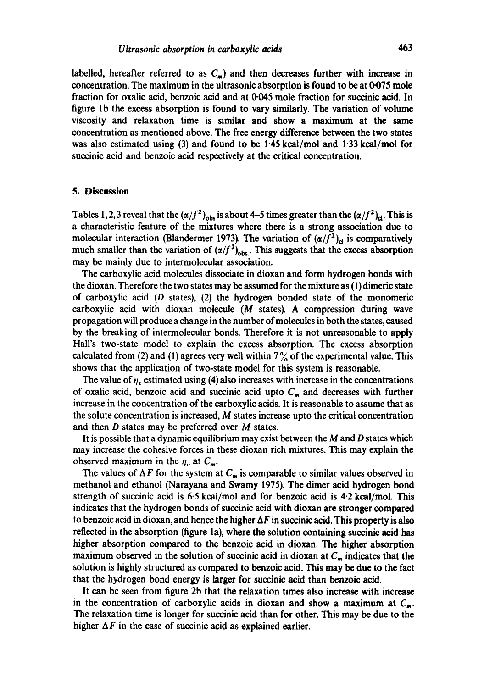labelled, hereafter referred to as  $C_m$ ) and then decreases further with increase in concentration. The maximum in the ultrasonic absorption is found to be at  $0.075$  mole fraction for oxalic acid, benzoic acid and at  $0.045$  mole fraction for succinic acid. In figure lb the excess absorption is found to vary similarly. The variation of volume viscosity and relaxation time is similar and show a maximum at the same concentration as mentioned above. The free energy difference between the two states was also estimated using (3) and found to be 1.45 kcal/mol and 1.33 kcal/mol for succinic acid and benzoic acid respectively at the critical concentration.

#### **5. Discussion**

Tables 1, 2, 3 reveal that the  $(\alpha/f^2)_{obs}$  is about 4-5 times greater than the  $(\alpha/f^2)_{cl}$ . This is a characteristic feature of the mixtures where there is a strong association due to molecular interaction (Blandermer 1973). The variation of  $(\alpha/f^2)_{\text{cl}}$  is comparatively much smaller than the variation of  $(\alpha/f^2)_{\rm obs}$ . This suggests that the excess absorption may be mainly due to intermolecular association.

The carboxylic acid molecules dissociate in dioxan and form hydrogen bonds with the dioxan. Therefore the two states may be assumed for the mixture as (1) dimeric state of carboxylic acid  $(D \text{ states})$ ,  $(2)$  the hydrogen bonded state of the monomeric carboxylic acid with dioxan molecule  $(M$  states). A compression during wave propagation will produce a change in the number of molecules in both the states, caused by the breaking of intermolecular bonds. Therefore it is not unreasonable to apply Hall's two-state model to explain the excess absorption. The excess absorption calculated from (2) and (1) agrees very well within  $7\%$  of the experimental value. This shows that the application of two-state model for this system is reasonable.

The value of  $\eta_v$  estimated using (4) also increases with increase in the concentrations of oxalic acid, benzoic acid and succinic acid upto  $C_m$  and decreases with further increase in the concentration of the carboxylic acids. It is reasonable to assume that as the solute concentration is increased, M states increase upto the critical concentration and then  $D$  states may be preferred over  $M$  states.

It is possible that a dynamic equilibrium may exist between the  $M$  and  $D$  states which may increase the cohesive forces in these dioxan rich mixtures. This may explain the observed maximum in the  $\eta_{v}$  at  $C_{m}$ .

The values of  $\Delta F$  for the system at  $C_m$  is comparable to similar values observed in methanol and ethanol (Narayana and Swamy 1975). The dimer acid hydrogen bond strength of succinic acid is  $6.5$  kcal/mol and for benzoic acid is  $4.2$  kcal/mol. This indicates that the hydrogen bonds of succinic acid with dioxan are stronger compared to benzoic acid in dioxan, and hence the higher  $\Delta F$  in succinic acid. This property is also reflected in the absorption (figure la), where the solution containing succinic acid has higher absorption compared to the benzoic acid in dioxan. The higher absorption maximum observed in the solution of succinic acid in dioxan at  $C_m$  indicates that the solution is highly structured as compared to benzoic acid. This may be due to the fact that the hydrogen bond energy is larger for suecinic acid than benzoic acid.

It can be seen from figure 2b that the relaxation times also increase with increase in the concentration of carboxylic acids in dioxan and show a maximum at  $C_m$ . The relaxation time is longer for succinic acid than for other. This may be due to the higher  $\Delta F$  in the case of succinic acid as explained earlier.